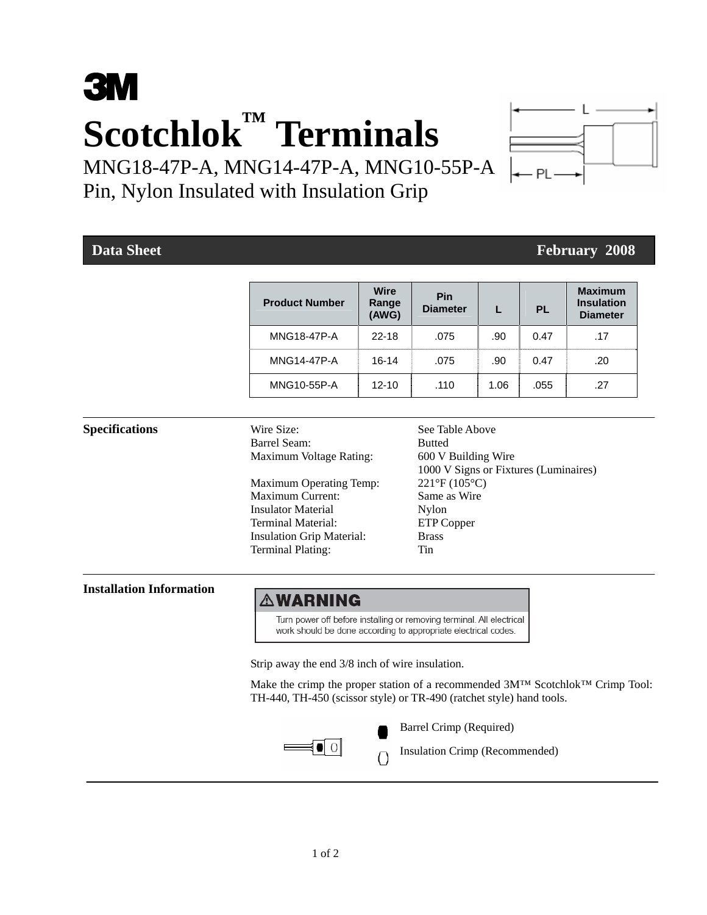# **3M Scotchlok™ Terminals**

MNG18-47P-A, MNG14-47P-A, MNG10-55P-A Pin, Nylon Insulated with Insulation Grip

# **Data Sheet February 2008 February 2008**

| <b>Product Number</b> | <b>Wire</b><br>Range<br>(AWG) | <b>Pin</b><br><b>Diameter</b> |      | <b>PL</b> | <b>Maximum</b><br><b>Insulation</b><br><b>Diameter</b> |
|-----------------------|-------------------------------|-------------------------------|------|-----------|--------------------------------------------------------|
| <b>MNG18-47P-A</b>    | $22 - 18$                     | .075                          | .90  | 0.47      | .17                                                    |
| <b>MNG14-47P-A</b>    | $16-14$                       | .075                          | .90  | 0.47      | .20                                                    |
| MNG10-55P-A           | $12 - 10$                     | .110                          | 1.06 | .055      | .27                                                    |

Barrel Seam: Butted Maximum Voltage Rating: 600 V Building Wire

Maximum Operating Temp: 221°F (105°C) Maximum Current: Same as Wire Insulator Material Nylon Terminal Material: ETP Copper Insulation Grip Material: Brass Terminal Plating: Tin

**Specifications** Wire Size: See Table Above 1000 V Signs or Fixtures (Luminaires)

### **Installation Information**

## ∆WARNING

Turn power off before installing or removing terminal. All electrical work should be done according to appropriate electrical codes.

Strip away the end 3/8 inch of wire insulation.

 Make the crimp the proper station of a recommended 3M™ Scotchlok™ Crimp Tool: TH-440, TH-450 (scissor style) or TR-490 (ratchet style) hand tools.



Barrel Crimp (Required)

 $\left\{ \begin{array}{c} \begin{array}{c} \blacksquare \ \blacksquare \end{array} \end{array} \right\}$  Insulation Crimp (Recommended)